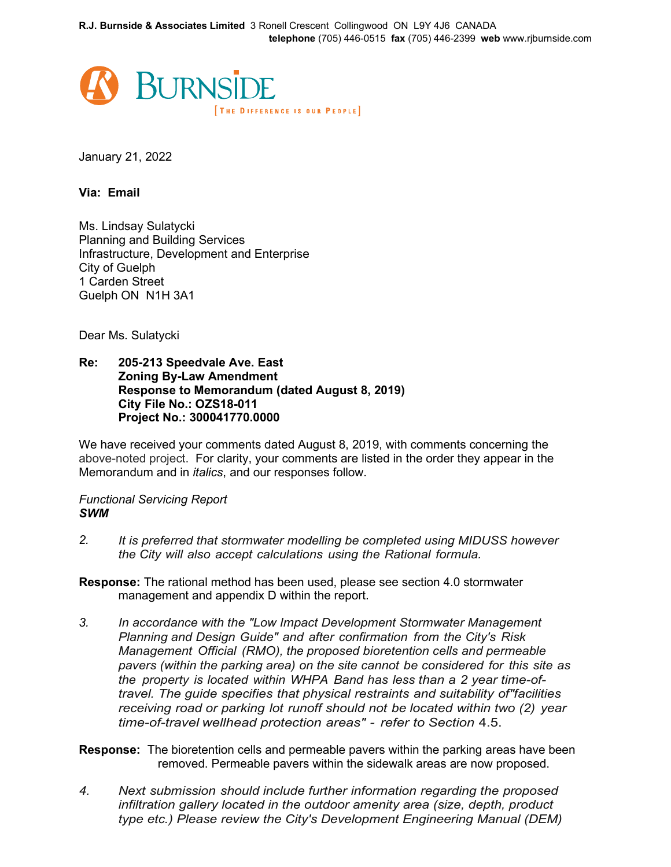

January 21, 2022

**Via: Email**

Ms. Lindsay Sulatycki Planning and Building Services Infrastructure, Development and Enterprise City of Guelph 1 Carden Street Guelph ON N1H 3A1

Dear Ms. Sulatycki

## **Re: 205-213 Speedvale Ave. East Zoning By-Law Amendment Response to Memorandum (dated August 8, 2019) City File No.: OZS18-011 Project No.: 300041770.0000**

We have received your comments dated August 8, 2019, with comments concerning the above-noted project. For clarity, your comments are listed in the order they appear in the Memorandum and in *italics*, and our responses follow.

# *Functional Servicing Report SWM*

*2. It is preferred that stormwater modelling be completed using MIDUSS however the City will also accept calculations using the Rational formula.*

**Response:** The rational method has been used, please see section 4.0 stormwater management and appendix D within the report.

*3. In accordance with the "Low Impact Development Stormwater Management Planning and Design Guide" and after confirmation from the City's Risk Management Official (RMO), the proposed bioretention cells and permeable pavers (within the parking area) on the site cannot be considered for this site as the property is located within WHPA Band has less than a 2 year time-oftravel. The guide specifies that physical restraints and suitability of"facilities receiving road or parking lot runoff should not be located within two (2) year time-of-travel wellhead protection areas" - refer to Section* 4.5.

**Response:** The bioretention cells and permeable pavers within the parking areas have been removed. Permeable pavers within the sidewalk areas are now proposed.

*4. Next submission should include further information regarding the proposed infiltration gallery located in the outdoor amenity area (size, depth, product type etc.) Please review the City's Development Engineering Manual (DEM)*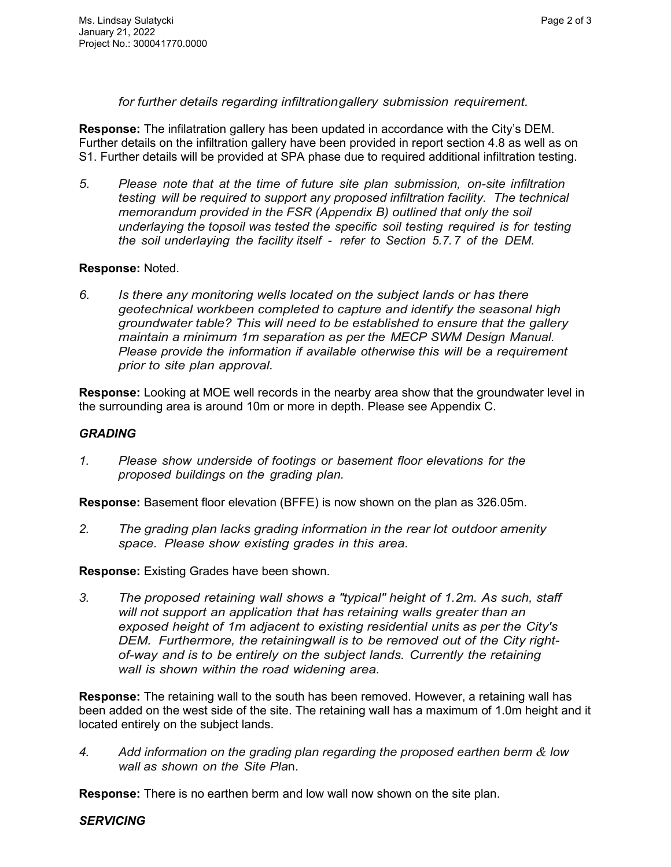*for further details regarding infiltration gallery submission requirement.*

**Response:** The infilatration gallery has been updated in accordance with the City's DEM. Further details on the infiltration gallery have been provided in report section 4.8 as well as on S1. Further details will be provided at SPA phase due to required additional infiltration testing.

*5. Please note that at the time of future site plan submission, on-site infiltration testing will be required to support any proposed infiltration facility. The technical memorandum provided in the FSR (Appendix B) outlined that only the soil underlaying the topsoil was tested the specific soil testing required is for testing the soil underlaying the facility itself - refer to Section 5.7.7 of the DEM.*

# **Response:** Noted.

*6. Is there any monitoring wells located on the subject lands or has there geotechnical workbeen completed to capture and identify the seasonal high groundwater table? This will need to be established to ensure that the gallery maintain a minimum 1m separation as per the MECP SWM Design Manual. Please provide the information if available otherwise this will be a requirement prior to site plan approval.*

**Response:** Looking at MOE well records in the nearby area show that the groundwater level in the surrounding area is around 10m or more in depth. Please see Appendix C.

### *GRADING*

*1. Please show underside of footings or basement floor elevations for the proposed buildings on the grading plan.*

**Response:** Basement floor elevation (BFFE) is now shown on the plan as 326.05m.

*2. The grading plan lacks grading information in the rear lot outdoor amenity space. Please show existing grades in this area.*

**Response:** Existing Grades have been shown.

*3. The proposed retaining wall shows a "typical" height of 1.2m. As such, staff will not support an application that has retaining walls greater than an exposed height of 1m adjacent to existing residential units as per the City's DEM. Furthermore, the retainingwall is to be removed out of the City rightof-way and is to be entirely on the subject lands. Currently the retaining wall is shown within the road widening area.*

**Response:** The retaining wall to the south has been removed. However, a retaining wall has been added on the west side of the site. The retaining wall has a maximum of 1.0m height and it located entirely on the subject lands.

*4. Add information on the grading plan regarding the proposed earthen berm & low wall as shown on the Site Pla*n.

**Response:** There is no earthen berm and low wall now shown on the site plan.